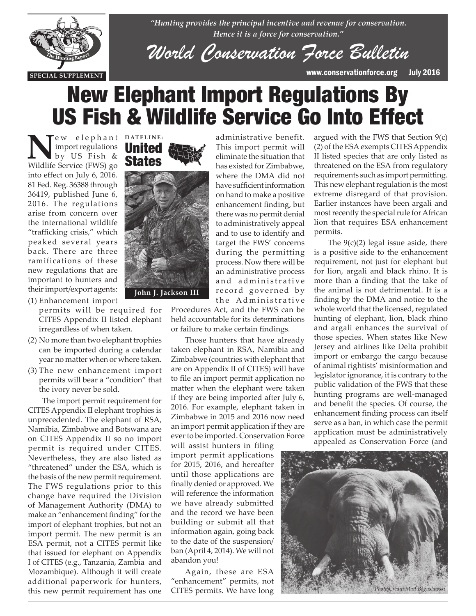

*"Hunting provides the principal incentive and revenue for conservation. Hence it is a force for conservation."*

*World Conservation Force Bulletin*

administrative benefit. This import permit will eliminate the situation that has existed for Zimbabwe, where the DMA did not have sufficient information on hand to make a positive enhancement finding, but there was no permit denial to administratively appeal and to use to identify and target the FWS' concerns during the permitting process. Now there will be

**SPECIAL SUPPLEMENT** www.conservationforce.org July 2016

# New Elephant Import Regulations By US Fish & Wildlife Service Go Into Effect

New elephant DATELINE:<br>
by US Fish & **States**<br>
Wildlife Service (EWS) co. **States** import regulations by US Fish & Wildlife Service (FWS) go into effect on July 6, 2016. 81 Fed. Reg. 36388 through 36419, published June 6, 2016. The regulations arise from concern over the international wildlife "trafficking crisis," which peaked several years back. There are three ramifications of these new regulations that are important to hunters and their import/export agents:

- (1) Enhancement import permits will be required for CITES Appendix II listed elephant irregardless of when taken.
- (2) No more than two elephant trophies can be imported during a calendar year no matter when or where taken.
- (3) The new enhancement import permits will bear a "condition" that the ivory never be sold.

The import permit requirement for CITES Appendix II elephant trophies is unprecedented. The elephant of RSA, Namibia, Zimbabwe and Botswana are on CITES Appendix II so no import permit is required under CITES. Nevertheless, they are also listed as "threatened" under the ESA, which is the basis of the new permit requirement. The FWS regulations prior to this change have required the Division of Management Authority (DMA) to make an "enhancement finding" for the import of elephant trophies, but not an import permit. The new permit is an ESA permit, not a CITES permit like that issued for elephant on Appendix I of CITES (e.g., Tanzania, Zambia and Mozambique). Although it will create additional paperwork for hunters, this new permit requirement has one

### United States



an administrative process and administrative record governed by the Administrative Procedures Act, and the FWS can be

held accountable for its determinations or failure to make certain findings.

Those hunters that have already taken elephant in RSA, Namibia and Zimbabwe (countries with elephant that are on Appendix II of CITES) will have to file an import permit application no matter when the elephant were taken if they are being imported after July 6, 2016. For example, elephant taken in Zimbabwe in 2015 and 2016 now need an import permit application if they are ever to be imported. Conservation Force

will assist hunters in filing import permit applications for 2015, 2016, and hereafter until those applications are finally denied or approved. We will reference the information we have already submitted and the record we have been building or submit all that information again, going back to the date of the suspension/ ban (April 4, 2014). We will not abandon you!

Again, these are ESA "enhancement" permits, not CITES permits. We have long

argued with the FWS that Section 9(c) (2) of the ESA exempts CITES Appendix II listed species that are only listed as threatened on the ESA from regulatory requirements such as import permitting. This new elephant regulation is the most extreme disregard of that provision. Earlier instances have been argali and most recently the special rule for African lion that requires ESA enhancement permits.

The  $9(c)(2)$  legal issue aside, there is a positive side to the enhancement requirement, not just for elephant but for lion, argali and black rhino. It is more than a finding that the take of the animal is not detrimental. It is a finding by the DMA and notice to the whole world that the licensed, regulated hunting of elephant, lion, black rhino and argali enhances the survival of those species. When states like New Jersey and airlines like Delta prohibit import or embargo the cargo because of animal rightists' misinformation and legislator ignorance, it is contrary to the public validation of the FWS that these hunting programs are well-managed and benefit the species. Of course, the enhancement finding process can itself serve as a ban, in which case the permit application must be administratively appealed as Conservation Force (and

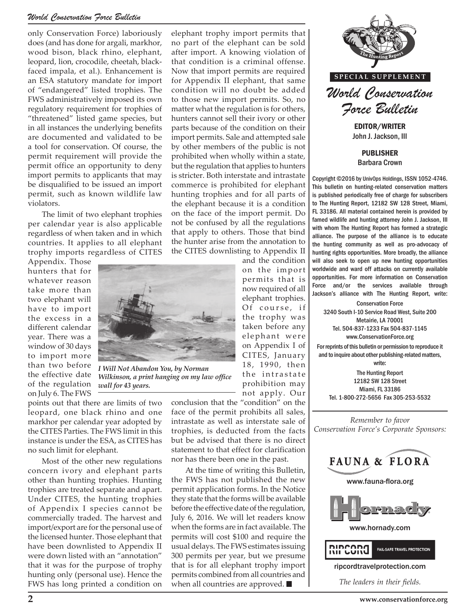#### *World Conservation Force Bulletin*

only Conservation Force) laboriously does (and has done for argali, markhor, wood bison, black rhino, elephant, leopard, lion, crocodile, cheetah, blackfaced impala, et al.). Enhancement is an ESA statutory mandate for import of "endangered" listed trophies. The FWS administratively imposed its own regulatory requirement for trophies of "threatened" listed game species, but in all instances the underlying benefits are documented and validated to be a tool for conservation. Of course, the permit requirement will provide the permit office an opportunity to deny import permits to applicants that may be disqualified to be issued an import permit, such as known wildlife law violators.

The limit of two elephant trophies per calendar year is also applicable regardless of when taken and in which countries. It applies to all elephant trophy imports regardless of CITES

Appendix. Those hunters that for whatever reason take more than two elephant will have to import the excess in a different calendar year. There was a window of 30 days to import more than two before the effective date of the regulation on July 6. The FWS



*Wilkinson, a print hanging on my law office wall for 43 years.*

points out that there are limits of two leopard, one black rhino and one markhor per calendar year adopted by the CITES Parties. The FWS limit in this instance is under the ESA, as CITES has no such limit for elephant.

Most of the other new regulations concern ivory and elephant parts other than hunting trophies. Hunting trophies are treated separate and apart. Under CITES, the hunting trophies of Appendix I species cannot be commercially traded. The harvest and import/export are for the personal use of the licensed hunter. Those elephant that have been downlisted to Appendix II were down listed with an "annotation" that it was for the purpose of trophy hunting only (personal use). Hence the FWS has long printed a condition on

elephant trophy import permits that no part of the elephant can be sold after import. A knowing violation of that condition is a criminal offense. Now that import permits are required for Appendix II elephant, that same condition will no doubt be added to those new import permits. So, no matter what the regulation is for others, hunters cannot sell their ivory or other parts because of the condition on their import permits. Sale and attempted sale by other members of the public is not prohibited when wholly within a state, but the regulation that applies to hunters is stricter. Both interstate and intrastate commerce is prohibited for elephant hunting trophies and for all parts of the elephant because it is a condition on the face of the import permit. Do not be confused by all the regulations that apply to others. Those that bind the hunter arise from the annotation to the CITES downlisting to Appendix II

and the condition on the import permits that is now required of all elephant trophies. Of course, if the trophy was taken before any elephant were on Appendix I of CITES, January 18, 1990, then the intrastate prohibition may not apply. Our

conclusion that the "condition" on the face of the permit prohibits all sales, intrastate as well as interstate sale of trophies, is deducted from the facts but be advised that there is no direct statement to that effect for clarification nor has there been one in the past.

At the time of writing this Bulletin, the FWS has not published the new permit application forms. In the Notice they state that the forms will be available before the effective date of the regulation, July 6, 2016. We will let readers know when the forms are in fact available. The permits will cost \$100 and require the usual delays. The FWS estimates issuing 300 permits per year, but we presume that is for all elephant trophy import permits combined from all countries and when all countries are approved.



John J. Jackson, III

PUBLISHER Barbara Crown

Copyright ©2016 by UnivOps Holdings, ISSN 1052-4746. This bulletin on hunting-related conservation matters is published periodically free of charge for subscribers to The Hunting Report, 12182 SW 128 Street, Miami, FL 33186. All material contained herein is provided by famed wildlife and hunting attorney John J. Jackson, III with whom The Hunting Report has formed a strategic alliance. The purpose of the alliance is to educate the hunting community as well as pro-advocacy of hunting rights opportunities. More broadly, the alliance will also seek to open up new hunting opportunities worldwide and ward off attacks on currently available opportunities. For more information on Conservation Force and/or the services available through Jackson's alliance with The Hunting Report, write:

Conservation Force 3240 South I-10 Service Road West, Suite 200 Metairie, LA 70001 Tel. 504-837-1233 Fax 504-837-1145 www.ConservationForce.org

For reprints of this bulletin or permission to reproduce it and to inquire about other publishing-related matters, write:

The Hunting Report 12182 SW 128 Street Miami, FL 33186 Tel. 1-800-272-5656 Fax 305-253-5532

*Remember to favor Conservation Force's Corporate Sponsors:*

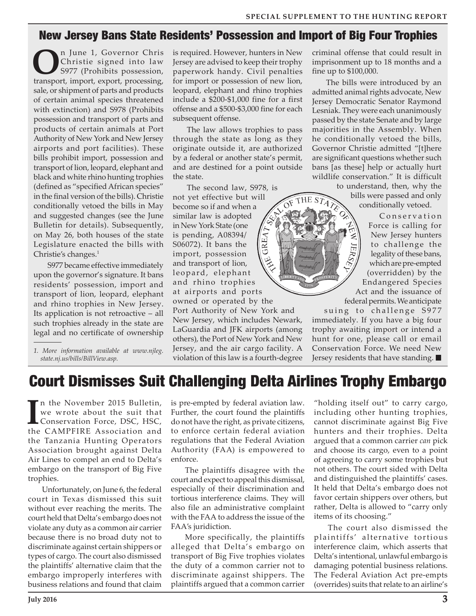#### New Jersey Bans State Residents' Possession and Import of Big Four Trophies

**O**n June 1, Governor Chris<br>
S977 (Prohibits possession,<br>
transport import avport processing Christie signed into law transport, import, export, processing, sale, or shipment of parts and products of certain animal species threatened with extinction) and S978 (Prohibits possession and transport of parts and products of certain animals at Port Authority of New York and New Jersey airports and port facilities). These bills prohibit import, possession and transport of lion, leopard, elephant and black and white rhino hunting trophies (defined as "specified African species" in the final version of the bills). Christie conditionally vetoed the bills in May and suggested changes (see the June Bulletin for details). Subsequently, on May 26, both houses of the state Legislature enacted the bills with Christie's changes. $<sup>1</sup>$ </sup>

S977 became effective immediately upon the governor's signature. It bans residents' possession, import and transport of lion, leopard, elephant and rhino trophies in New Jersey. Its application is not retroactive – all such trophies already in the state are legal and no certificate of ownership

*1. More information available at www.njleg. state.nj.us/bills/BillView.asp.*

is required. However, hunters in New Jersey are advised to keep their trophy paperwork handy. Civil penalties for import or possession of new lion, leopard, elephant and rhino trophies include a \$200-\$1,000 fine for a first offense and a \$500-\$3,000 fine for each subsequent offense.

The law allows trophies to pass through the state as long as they originate outside it, are authorized by a federal or another state's permit, and are destined for a point outside the state.

The second law, S978, is not yet effective but will THE ST<sub>A</sub>  $\widehat{O^F}$ become so if and when a similar law is adopted in New York State (one GREAT is pending, A08394/ S06072). It bans the import, possession )<br>(そ) and transport of lion, leopard, elephant and rhino trophies at airports and ports owned or operated by the Port Authority of New York and New Jersey, which includes Newark, LaGuardia and JFK airports (among others), the Port of New York and New Jersey, and the air cargo facility. A violation of this law is a fourth-degree

criminal offense that could result in imprisonment up to 18 months and a fine up to \$100,000.

The bills were introduced by an admitted animal rights advocate, New Jersey Democratic Senator Raymond Lesniak. They were each unanimously passed by the state Senate and by large majorities in the Assembly. When he conditionally vetoed the bills, Governor Christie admitted "[t]here are significant questions whether such bans [as these] help or actually hurt wildlife conservation." It is difficult

to understand, then, why the bills were passed and only conditionally vetoed.

Conservation Force is calling for New Jersey hunters to challenge the legality of these bans, which are pre-empted (overridden) by the Endangered Species Act and the issuance of federal permits. We anticipate

suing to challenge S977 immediately. If you have a big four trophy awaiting import or intend a hunt for one, please call or email Conservation Force. We need New Jersey residents that have standing.  $\blacksquare$ 

### Court Dismisses Suit Challenging Delta Airlines Trophy Embargo

In the November 2015 Bulletin,<br>we wrote about the suit that<br>Conservation Force, DSC, HSC,<br>the CAMPFIRE Association and n the November 2015 Bulletin, we wrote about the suit that Conservation Force, DSC, HSC, the Tanzania Hunting Operators Association brought against Delta Air Lines to compel an end to Delta's embargo on the transport of Big Five trophies.

Unfortunately, on June 6, the federal court in Texas dismissed this suit without ever reaching the merits. The court held that Delta's embargo does not violate any duty as a common air carrier because there is no broad duty not to discriminate against certain shippers or types of cargo. The court also dismissed the plaintiffs' alternative claim that the embargo improperly interferes with business relations and found that claim

is pre-empted by federal aviation law. Further, the court found the plaintiffs do not have the right, as private citizens, to enforce certain federal aviation regulations that the Federal Aviation Authority (FAA) is empowered to enforce.

The plaintiffs disagree with the court and expect to appeal this dismissal, especially of their discrimination and tortious interference claims. They will also file an administrative complaint with the FAA to address the issue of the FAA's juridiction.

More specifically, the plaintiffs alleged that Delta's embargo on transport of Big Five trophies violates the duty of a common carrier not to discriminate against shippers. The plaintiffs argued that a common carrier

"holding itself out" to carry cargo, including other hunting trophies, cannot discriminate against Big Five hunters and their trophies. Delta argued that a common carrier *can* pick and choose its cargo, even to a point of agreeing to carry some trophies but not others. The court sided with Delta and distinguished the plaintiffs' cases. It held that Delta's embargo does not favor certain shippers over others, but rather, Delta is allowed to "carry only items of its choosing."

The court also dismissed the plaintiffs' alternative tortious interference claim, which asserts that Delta's intentional, unlawful embargo is damaging potential business relations. The Federal Aviation Act pre-empts (overrides) suits that relate to an airline's